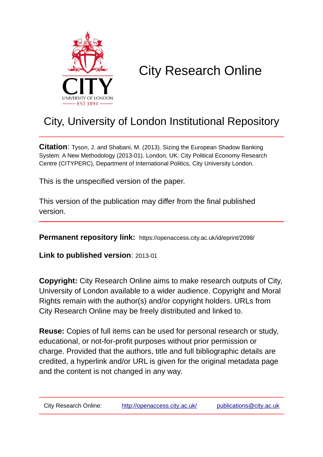

# City Research Online

# City, University of London Institutional Repository

**Citation**: Tyson, J. and Shabani, M. (2013). Sizing the European Shadow Banking System: A New Methodology (2013-01). London, UK: City Political Economy Research Centre (CITYPERC), Department of International Politics, City University London.

This is the unspecified version of the paper.

This version of the publication may differ from the final published version.

**Permanent repository link:** https://openaccess.city.ac.uk/id/eprint/2098/

**Link to published version**: 2013-01

**Copyright:** City Research Online aims to make research outputs of City, University of London available to a wider audience. Copyright and Moral Rights remain with the author(s) and/or copyright holders. URLs from City Research Online may be freely distributed and linked to.

**Reuse:** Copies of full items can be used for personal research or study, educational, or not-for-profit purposes without prior permission or charge. Provided that the authors, title and full bibliographic details are credited, a hyperlink and/or URL is given for the original metadata page and the content is not changed in any way.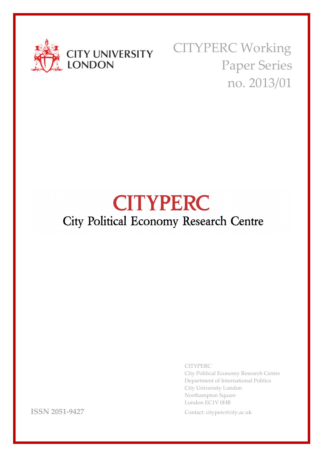

CITYPERC Working Paper Series no. 2013/01

# **CITYPERC** City Political Economy Research Centre

CITYPERC

City Political Economy Research Centre Department of International Politics City University London Northampton Square London EC1V 0HB

**ISSN 2051-9427** Contact: cityperc@city.ac.uk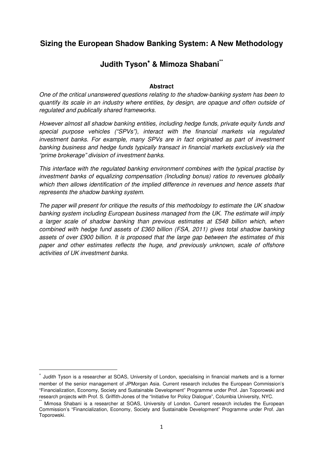### **Sizing the European Shadow Banking System: A New Methodology**

## **Judith Tyson**<sup>∗</sup> **& Mimoza Shabani\*\***

#### **Abstract**

One of the critical unanswered questions relating to the shadow-banking system has been to quantify its scale in an industry where entities, by design, are opaque and often outside of regulated and publically shared frameworks.

However almost all shadow banking entities, including hedge funds, private equity funds and special purpose vehicles ("SPVs"), interact with the financial markets via regulated investment banks. For example, many SPVs are in fact originated as part of investment banking business and hedge funds typically transact in financial markets exclusively via the "prime brokerage" division of investment banks.

This interface with the regulated banking environment combines with the typical practise by investment banks of equalizing compensation (Including bonus) ratios to revenues globally which then allows identification of the implied difference in revenues and hence assets that represents the shadow banking system.

The paper will present for critique the results of this methodology to estimate the UK shadow banking system including European business managed from the UK. The estimate will imply a larger scale of shadow banking than previous estimates at £548 billion which, when combined with hedge fund assets of £360 billion (FSA, 2011) gives total shadow banking assets of over £900 billion. It is proposed that the large gap between the estimates of this paper and other estimates reflects the huge, and previously unknown, scale of offshore activities of UK investment banks.

 $\overline{\phantom{0}}$ 

<sup>∗</sup> Judith Tyson is a researcher at SOAS, University of London, specialising in financial markets and is a former member of the senior management of JPMorgan Asia. Current research includes the European Commission's "Financialization, Economy, Society and Sustainable Development" Programme under Prof. Jan Toporowski and research projects with Prof. S. Griffith-Jones of the "Initiative for Policy Dialogue", Columbia University, NYC.

Mimosa Shabani is a researcher at SOAS, University of London. Current research includes the European Commission's "Financialization, Economy, Society and Sustainable Development" Programme under Prof. Jan Toporowski.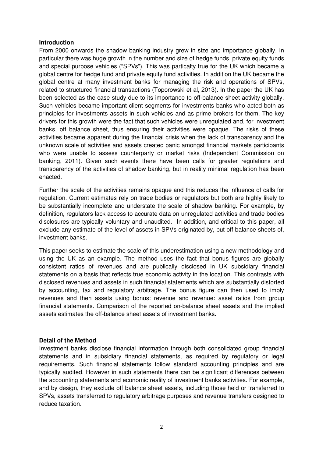#### **Introduction**

From 2000 onwards the shadow banking industry grew in size and importance globally. In particular there was huge growth in the number and size of hedge funds, private equity funds and special purpose vehicles ("SPVs"). This was particalty true for the UK which became a global centre for hedge fund and private equity fund activities. In addition the UK became the global centre at many investment banks for managing the risk and operations of SPVs, related to structured financial transactions (Toporowski et al, 2013). In the paper the UK has been selected as the case study due to its importance to off-balance sheet activity globally. Such vehicles became important client segments for investments banks who acted both as principles for investments assets in such vehicles and as prime brokers for them. The key drivers for this growth were the fact that such vehicles were unregulated and, for investment banks, off balance sheet, thus ensuring their activities were opaque. The risks of these activities became apparent during the financial crisis when the lack of transparency and the unknown scale of activities and assets created panic amongst financial markets participants who were unable to assess counterparty or market risks (Independent Commission on banking, 2011). Given such events there have been calls for greater regulations and transparency of the activities of shadow banking, but in reality minimal regulation has been enacted.

Further the scale of the activities remains opaque and this reduces the influence of calls for regulation. Current estimates rely on trade bodies or regulators but both are highly likely to be substantially incomplete and understate the scale of shadow banking. For example, by definition, regulators lack access to accurate data on unregulated activities and trade bodies disclosures are typically voluntary and unaudited. In addition, and critical to this paper, all exclude any estimate of the level of assets in SPVs originated by, but off balance sheets of, investment banks.

This paper seeks to estimate the scale of this underestimation using a new methodology and using the UK as an example. The method uses the fact that bonus figures are globally consistent ratios of revenues and are publically disclosed in UK subsidiary financial statements on a basis that reflects true economic activity in the location. This contrasts with disclosed revenues and assets in such financial statements which are substantially distorted by accounting, tax and regulatory arbitrage. The bonus figure can then used to imply revenues and then assets using bonus: revenue and revenue: asset ratios from group financial statements. Comparison of the reported on-balance sheet assets and the implied assets estimates the off-balance sheet assets of investment banks.

#### **Detail of the Method**

Investment banks disclose financial information through both consolidated group financial statements and in subsidiary financial statements, as required by regulatory or legal requirements. Such financial statements follow standard accounting principles and are typically audited. However in such statements there can be significant differences between the accounting statements and economic reality of investment banks activities. For example, and by design, they exclude off balance sheet assets, including those held or transferred to SPVs, assets transferred to regulatory arbitrage purposes and revenue transfers designed to reduce taxation.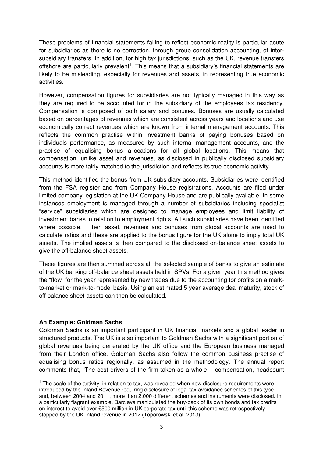These problems of financial statements failing to reflect economic reality is particular acute for subsidiaries as there is no correction, through group consolidation accounting, of intersubsidiary transfers. In addition, for high tax jurisdictions, such as the UK, revenue transfers offshore are particularly prevalent<sup>1</sup>. This means that a subsidiary's financial statements are likely to be misleading, especially for revenues and assets, in representing true economic activities.

However, compensation figures for subsidiaries are not typically managed in this way as they are required to be accounted for in the subsidiary of the employees tax residency. Compensation is composed of both salary and bonuses. Bonuses are usually calculated based on percentages of revenues which are consistent across years and locations and use economically correct revenues which are known from internal management accounts. This reflects the common practise within investment banks of paying bonuses based on individuals performance, as measured by such internal management accounts, and the practise of equalising bonus allocations for all global locations. This means that compensation, unlike asset and revenues, as disclosed in publically disclosed subsidiary accounts is more fairly matched to the jurisdiction and reflects its true economic activity.

This method identified the bonus from UK subsidiary accounts. Subsidiaries were identified from the FSA register and from Company House registrations. Accounts are filed under limited company legislation at the UK Company House and are publically available. In some instances employment is managed through a number of subsidiaries including specialist "service" subsidiaries which are designed to manage employees and limit liability of investment banks in relation to employment rights. All such subsidiaries have been identified where possible. Then asset, revenues and bonuses from global accounts are used to calculate ratios and these are applied to the bonus figure for the UK alone to imply total UK assets. The implied assets is then compared to the disclosed on-balance sheet assets to give the off-balance sheet assets.

These figures are then summed across all the selected sample of banks to give an estimate of the UK banking off-balance sheet assets held in SPVs. For a given year this method gives the "flow" for the year represented by new trades due to the accounting for profits on a markto-market or mark-to-model basis. Using an estimated 5 year average deal maturity, stock of off balance sheet assets can then be calculated.

#### **An Example: Goldman Sachs**

l

Goldman Sachs is an important participant in UK financial markets and a global leader in structured products. The UK is also important to Goldman Sachs with a significant portion of global revenues being generated by the UK office and the European business managed from their London office. Goldman Sachs also follow the common business practise of equalising bonus ratios regionally, as assumed in the methodology. The annual report comments that, "The cost drivers of the firm taken as a whole —compensation, headcount

 $1$  The scale of the activity, in relation to tax, was revealed when new disclosure requirements were introduced by the Inland Revenue requiring disclosure of legal tax avoidance schemes of this type and, between 2004 and 2011, more than 2,000 different schemes and instruments were disclosed. In a particularly flagrant example, Barclays manipulated the buy-back of its own bonds and tax credits on interest to avoid over £500 million in UK corporate tax until this scheme was retrospectively stopped by the UK Inland revenue in 2012 (Toporowski et al, 2013).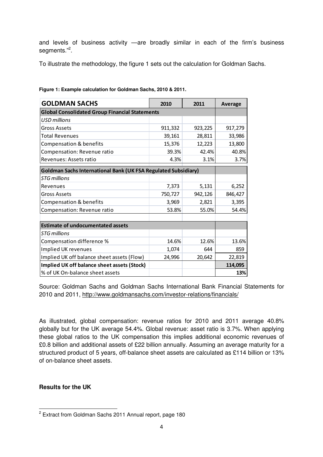and levels of business activity —are broadly similar in each of the firm's business segments."<sup>2</sup>.

To illustrate the methodology, the figure 1 sets out the calculation for Goldman Sachs.

| <b>GOLDMAN SACHS</b>                                                  | 2010    | 2011    | <b>Average</b> |  |  |
|-----------------------------------------------------------------------|---------|---------|----------------|--|--|
| <b>Global Consolidated Group Financial Statements</b>                 |         |         |                |  |  |
| <b>USD millions</b>                                                   |         |         |                |  |  |
| <b>Gross Assets</b>                                                   | 911,332 | 923,225 | 917,279        |  |  |
| <b>Total Revenues</b>                                                 | 39,161  | 28,811  | 33,986         |  |  |
| Compensation & benefits                                               | 15,376  | 12,223  | 13,800         |  |  |
| Compensation: Revenue ratio                                           | 39.3%   | 42.4%   | 40.8%          |  |  |
| Revenues: Assets ratio                                                | 4.3%    | 3.1%    | 3.7%           |  |  |
| <b>Goldman Sachs International Bank (UK FSA Regulated Subsidiary)</b> |         |         |                |  |  |
| <b>STG millions</b>                                                   |         |         |                |  |  |
| Revenues                                                              | 7,373   | 5,131   | 6,252          |  |  |
| <b>Gross Assets</b>                                                   | 750,727 | 942,126 | 846,427        |  |  |
| Compensation & benefits                                               | 3,969   | 2,821   | 3,395          |  |  |
| Compensation: Revenue ratio                                           | 53.8%   | 55.0%   | 54.4%          |  |  |
|                                                                       |         |         |                |  |  |
| <b>Estimate of undocumentated assets</b>                              |         |         |                |  |  |
| <b>STG</b> millions                                                   |         |         |                |  |  |
| Compensation difference %                                             | 14.6%   | 12.6%   | 13.6%          |  |  |
| Implied UK revenues                                                   | 1,074   | 644     | 859            |  |  |
| Implied UK off balance sheet assets (Flow)                            | 24,996  | 20,642  | 22,819         |  |  |
| Implied UK off balance sheet assets (Stock)                           |         |         | 114,095        |  |  |
| % of UK On-balance sheet assets                                       |         |         | 13%            |  |  |

#### **Figure 1: Example calculation for Goldman Sachs, 2010 & 2011.**

Source: Goldman Sachs and Goldman Sachs International Bank Financial Statements for 2010 and 2011, http://www.goldmansachs.com/investor-relations/financials/

As illustrated, global compensation: revenue ratios for 2010 and 2011 average 40.8% globally but for the UK average 54.4%. Global revenue: asset ratio is 3.7%. When applying these global ratios to the UK compensation this implies additional economic revenues of £0.8 billion and additional assets of £22 billion annually. Assuming an average maturity for a structured product of 5 years, off-balance sheet assets are calculated as £114 billion or 13% of on-balance sheet assets.

#### **Results for the UK**

 2 Extract from Goldman Sachs 2011 Annual report, page 180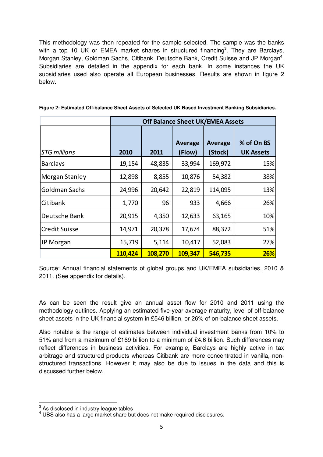This methodology was then repeated for the sample selected. The sample was the banks with a top 10 UK or EMEA market shares in structured financing<sup>3</sup>. They are Barclays, Morgan Stanley, Goldman Sachs, Citibank, Deutsche Bank, Credit Suisse and JP Morgan<sup>4</sup>. Subsidiaries are detailed in the appendix for each bank. In some instances the UK subsidiaries used also operate all European businesses. Results are shown in figure 2 below.

|                      | <b>Off Balance Sheet UK/EMEA Assets</b> |         |                   |                           |                                |
|----------------------|-----------------------------------------|---------|-------------------|---------------------------|--------------------------------|
| <b>STG millions</b>  | 2010                                    | 2011    | Average<br>(Flow) | <b>Average</b><br>(Stock) | % of On BS<br><b>UK Assets</b> |
| <b>Barclays</b>      | 19,154                                  | 48,835  | 33,994            | 169,972                   | 15%                            |
| Morgan Stanley       | 12,898                                  | 8,855   | 10,876            | 54,382                    | 38%                            |
| Goldman Sachs        | 24,996                                  | 20,642  | 22,819            | 114,095                   | 13%                            |
| Citibank             | 1,770                                   | 96      | 933               | 4,666                     | 26%                            |
| Deutsche Bank        | 20,915                                  | 4,350   | 12,633            | 63,165                    | 10%                            |
| <b>Credit Suisse</b> | 14,971                                  | 20,378  | 17,674            | 88,372                    | 51%                            |
| JP Morgan            | 15,719                                  | 5,114   | 10,417            | 52,083                    | 27%                            |
|                      | 110,424                                 | 108,270 | 109,347           | 546,735                   | 26%                            |

**Figure 2: Estimated Off-balance Sheet Assets of Selected UK Based Investment Banking Subsidiaries.** 

Source: Annual financial statements of global groups and UK/EMEA subsidiaries, 2010 & 2011. (See appendix for details).

As can be seen the result give an annual asset flow for 2010 and 2011 using the methodology outlines. Applying an estimated five-year average maturity, level of off-balance sheet assets in the UK financial system in £546 billion, or 26% of on-balance sheet assets.

Also notable is the range of estimates between individual investment banks from 10% to 51% and from a maximum of £169 billion to a minimum of £4.6 billion. Such differences may reflect differences in business activities. For example, Barclays are highly active in tax arbitrage and structured products whereas Citibank are more concentrated in vanilla, nonstructured transactions. However it may also be due to issues in the data and this is discussed further below.

<sup>&</sup>lt;u>a</u><br><sup>3</sup> As disclosed in industry league tables

<sup>4</sup> UBS also has a large market share but does not make required disclosures.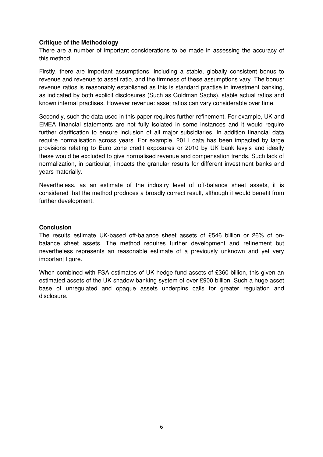#### **Critique of the Methodology**

There are a number of important considerations to be made in assessing the accuracy of this method.

Firstly, there are important assumptions, including a stable, globally consistent bonus to revenue and revenue to asset ratio, and the firmness of these assumptions vary. The bonus: revenue ratios is reasonably established as this is standard practise in investment banking, as indicated by both explicit disclosures (Such as Goldman Sachs), stable actual ratios and known internal practises. However revenue: asset ratios can vary considerable over time.

Secondly, such the data used in this paper requires further refinement. For example, UK and EMEA financial statements are not fully isolated in some instances and it would require further clarification to ensure inclusion of all major subsidiaries. In addition financial data require normalisation across years. For example, 2011 data has been impacted by large provisions relating to Euro zone credit exposures or 2010 by UK bank levy's and ideally these would be excluded to give normalised revenue and compensation trends. Such lack of normalization, in particular, impacts the granular results for different investment banks and years materially.

Nevertheless, as an estimate of the industry level of off-balance sheet assets, it is considered that the method produces a broadly correct result, although it would benefit from further development.

#### **Conclusion**

The results estimate UK-based off-balance sheet assets of £546 billion or 26% of onbalance sheet assets. The method requires further development and refinement but nevertheless represents an reasonable estimate of a previously unknown and yet very important figure.

When combined with FSA estimates of UK hedge fund assets of £360 billion, this given an estimated assets of the UK shadow banking system of over £900 billion. Such a huge asset base of unregulated and opaque assets underpins calls for greater regulation and disclosure.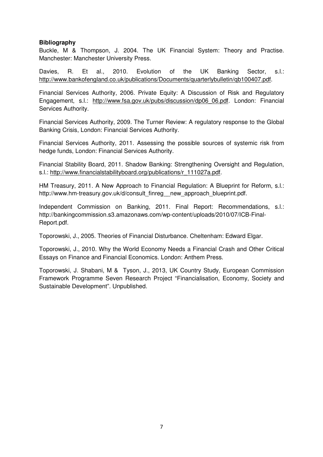#### **Bibliography**

Buckle, M & Thompson, J. 2004. The UK Financial System: Theory and Practise. Manchester: Manchester University Press.

Davies, R. Et al., 2010. Evolution of the UK Banking Sector, s.l.: http://www.bankofengland.co.uk/publications/Documents/quarterlybulletin/qb100407.pdf.

Financial Services Authority, 2006. Private Equity: A Discussion of Risk and Regulatory Engagement, s.l.: http://www.fsa.gov.uk/pubs/discussion/dp06\_06.pdf. London: Financial Services Authority.

Financial Services Authority, 2009. The Turner Review: A regulatory response to the Global Banking Crisis, London: Financial Services Authority.

Financial Services Authority, 2011. Assessing the possible sources of systemic risk from hedge funds, London: Financial Services Authority.

Financial Stability Board, 2011. Shadow Banking: Strengthening Oversight and Regulation, s.l.: http://www.financialstabilityboard.org/publications/r\_111027a.pdf.

HM Treasury, 2011. A New Approach to Financial Regulation: A Blueprint for Reform, s.l.: http://www.hm-treasury.gov.uk/d/consult\_finreg\_\_new\_approach\_blueprint.pdf.

Independent Commission on Banking, 2011. Final Report: Recommendations, s.l.: http://bankingcommission.s3.amazonaws.com/wp-content/uploads/2010/07/ICB-Final-Report.pdf.

Toporowski, J., 2005. Theories of Financial Disturbance. Cheltenham: Edward Elgar.

Toporowski, J., 2010. Why the World Economy Needs a Financial Crash and Other Critical Essays on Finance and Financial Economics. London: Anthem Press.

Toporowski, J. Shabani, M & Tyson, J., 2013, UK Country Study, European Commission Framework Programme Seven Research Project "Financialisation, Economy, Society and Sustainable Development". Unpublished.